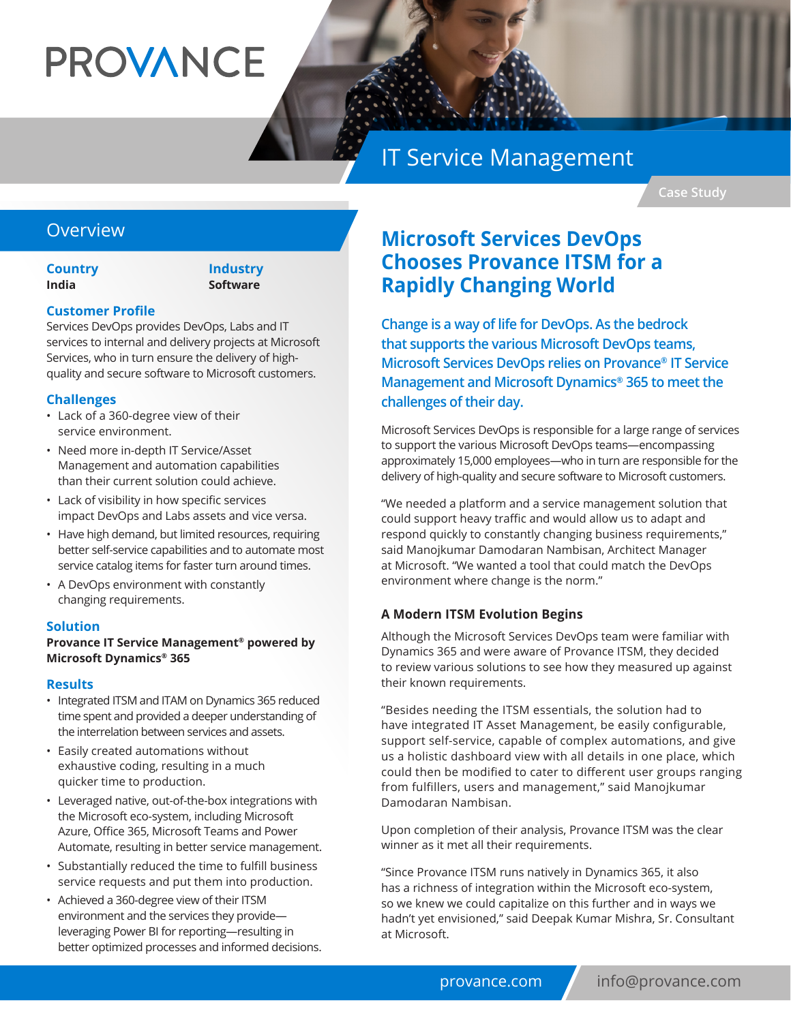# **PROVANCE**

# IT Service Management

**Case Study**

### **Overview**

**Country India**

#### **Industry Software**

#### **Customer Profile**

Services DevOps provides DevOps, Labs and IT services to internal and delivery projects at Microsoft Services, who in turn ensure the delivery of highquality and secure software to Microsoft customers.

#### **Challenges**

- Lack of a 360-degree view of their service environment.
- Need more in-depth IT Service/Asset Management and automation capabilities than their current solution could achieve.
- Lack of visibility in how specific services impact DevOps and Labs assets and vice versa.
- Have high demand, but limited resources, requiring better self-service capabilities and to automate most service catalog items for faster turn around times.
- A DevOps environment with constantly changing requirements.

#### **Solution**

#### **Provance IT Service Management® powered by Microsoft Dynamics® 365**

#### **Results**

- Integrated ITSM and ITAM on Dynamics 365 reduced time spent and provided a deeper understanding of the interrelation between services and assets.
- Easily created automations without exhaustive coding, resulting in a much quicker time to production.
- Leveraged native, out-of-the-box integrations with the Microsoft eco-system, including Microsoft Azure, Office 365, Microsoft Teams and Power Automate, resulting in better service management.
- Substantially reduced the time to fulfill business service requests and put them into production.
- Achieved a 360-degree view of their ITSM environment and the services they provide leveraging Power BI for reporting—resulting in better optimized processes and informed decisions.

## **Microsoft Services DevOps Chooses Provance ITSM for a Rapidly Changing World**

**Change is a way of life for DevOps. As the bedrock that supports the various Microsoft DevOps teams, Microsoft Services DevOps relies on Provance® IT Service Management and Microsoft Dynamics® 365 to meet the challenges of their day.** 

Microsoft Services DevOps is responsible for a large range of services to support the various Microsoft DevOps teams—encompassing approximately 15,000 employees—who in turn are responsible for the delivery of high-quality and secure software to Microsoft customers.

"We needed a platform and a service management solution that could support heavy traffic and would allow us to adapt and respond quickly to constantly changing business requirements," said Manojkumar Damodaran Nambisan, Architect Manager at Microsoft. "We wanted a tool that could match the DevOps environment where change is the norm."

#### **A Modern ITSM Evolution Begins**

Although the Microsoft Services DevOps team were familiar with Dynamics 365 and were aware of Provance ITSM, they decided to review various solutions to see how they measured up against their known requirements.

"Besides needing the ITSM essentials, the solution had to have integrated IT Asset Management, be easily configurable, support self-service, capable of complex automations, and give us a holistic dashboard view with all details in one place, which could then be modified to cater to different user groups ranging from fulfillers, users and management," said Manojkumar Damodaran Nambisan.

Upon completion of their analysis, Provance ITSM was the clear winner as it met all their requirements.

"Since Provance ITSM runs natively in Dynamics 365, it also has a richness of integration within the Microsoft eco-system, so we knew we could capitalize on this further and in ways we hadn't yet envisioned," said Deepak Kumar Mishra, Sr. Consultant at Microsoft.